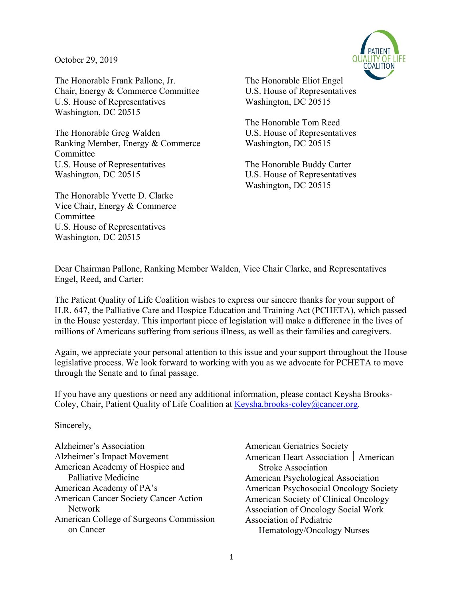October 29, 2019



The Honorable Frank Pallone, Jr. The Honorable Eliot Engel Chair, Energy & Commerce Committee U.S. House of Representatives U.S. House of Representatives Washington, DC 20515 Washington, DC 20515

The Honorable Greg Walden U.S. House of Representatives Ranking Member, Energy & Commerce Washington, DC 20515 Committee U.S. House of Representatives The Honorable Buddy Carter Washington, DC 20515 U.S. House of Representatives

The Honorable Yvette D. Clarke Vice Chair, Energy & Commerce Committee U.S. House of Representatives Washington, DC 20515

The Honorable Tom Reed

Washington, DC 20515

Dear Chairman Pallone, Ranking Member Walden, Vice Chair Clarke, and Representatives Engel, Reed, and Carter:

The Patient Quality of Life Coalition wishes to express our sincere thanks for your support of H.R. 647, the Palliative Care and Hospice Education and Training Act (PCHETA), which passed in the House yesterday. This important piece of legislation will make a difference in the lives of millions of Americans suffering from serious illness, as well as their families and caregivers.

Again, we appreciate your personal attention to this issue and your support throughout the House legislative process. We look forward to working with you as we advocate for PCHETA to move through the Senate and to final passage.

If you have any questions or need any additional information, please contact Keysha Brooks-Coley, Chair, Patient Quality of Life Coalition at Keysha.brooks-coley@cancer.org.

Sincerely,

Alzheimer's Association Alzheimer's Impact Movement American Academy of Hospice and Palliative Medicine American Academy of PA's American Cancer Society Cancer Action Network American College of Surgeons Commission on Cancer

American Geriatrics Society American Heart Association | American Stroke Association American Psychological Association American Psychosocial Oncology Society American Society of Clinical Oncology Association of Oncology Social Work Association of Pediatric Hematology/Oncology Nurses